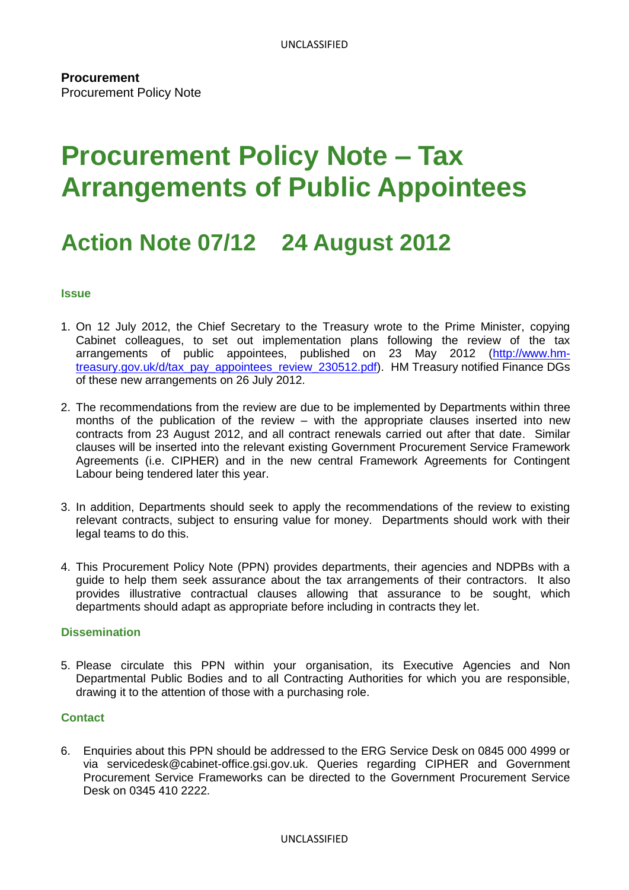# **Procurement Policy Note – Tax Arrangements of Public Appointees**

# **Action Note 07/12 24 August 2012**

#### **Issue**

- 1. On 12 July 2012, the Chief Secretary to the Treasury wrote to the Prime Minister, copying Cabinet colleagues, to set out implementation plans following the review of the tax arrangements of public appointees, published on 23 May 2012 [\(http://www.hm](http://www.hm-treasury.gov.uk/d/tax_pay_appointees_review_230512.pdf)[treasury.gov.uk/d/tax\\_pay\\_appointees\\_review\\_230512.pdf\)](http://www.hm-treasury.gov.uk/d/tax_pay_appointees_review_230512.pdf). HM Treasury notified Finance DGs of these new arrangements on 26 July 2012.
- 2. The recommendations from the review are due to be implemented by Departments within three months of the publication of the review – with the appropriate clauses inserted into new contracts from 23 August 2012, and all contract renewals carried out after that date. Similar clauses will be inserted into the relevant existing Government Procurement Service Framework Agreements (i.e. CIPHER) and in the new central Framework Agreements for Contingent Labour being tendered later this year.
- 3. In addition, Departments should seek to apply the recommendations of the review to existing relevant contracts, subject to ensuring value for money. Departments should work with their legal teams to do this.
- 4. This Procurement Policy Note (PPN) provides departments, their agencies and NDPBs with a guide to help them seek assurance about the tax arrangements of their contractors. It also provides illustrative contractual clauses allowing that assurance to be sought, which departments should adapt as appropriate before including in contracts they let.

#### **Dissemination**

5. Please circulate this PPN within your organisation, its Executive Agencies and Non Departmental Public Bodies and to all Contracting Authorities for which you are responsible, drawing it to the attention of those with a purchasing role.

#### **Contact**

6. Enquiries about this PPN should be addressed to the ERG Service Desk on 0845 000 4999 or via servicedesk@cabinet-office.gsi.gov.uk. Queries regarding CIPHER and Government Procurement Service Frameworks can be directed to the Government Procurement Service Desk on 0345 410 2222.

#### UNCLASSIFIED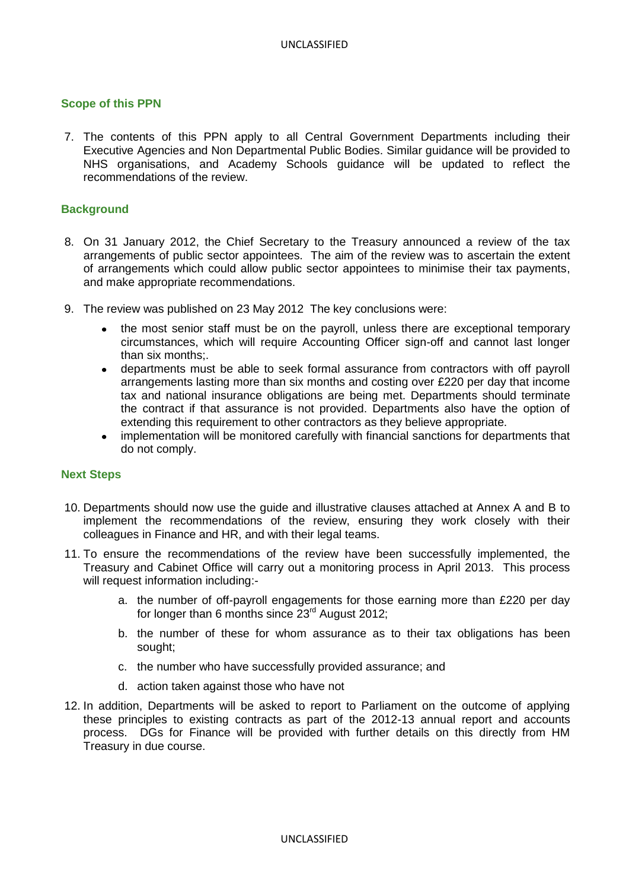# **Scope of this PPN**

7. The contents of this PPN apply to all Central Government Departments including their Executive Agencies and Non Departmental Public Bodies. Similar guidance will be provided to NHS organisations, and Academy Schools guidance will be updated to reflect the recommendations of the review.

# **Background**

- 8. On 31 January 2012, the Chief Secretary to the Treasury announced a review of the tax arrangements of public sector appointees. The aim of the review was to ascertain the extent of arrangements which could allow public sector appointees to minimise their tax payments, and make appropriate recommendations.
- 9. The review was published on 23 May 2012 The key conclusions were:
	- the most senior staff must be on the payroll, unless there are exceptional temporary circumstances, which will require Accounting Officer sign-off and cannot last longer than six months;.
	- departments must be able to seek formal assurance from contractors with off payroll arrangements lasting more than six months and costing over £220 per day that income tax and national insurance obligations are being met. Departments should terminate the contract if that assurance is not provided. Departments also have the option of extending this requirement to other contractors as they believe appropriate.
	- implementation will be monitored carefully with financial sanctions for departments that do not comply.

#### **Next Steps**

- 10. Departments should now use the guide and illustrative clauses attached at Annex A and B to implement the recommendations of the review, ensuring they work closely with their colleagues in Finance and HR, and with their legal teams.
- 11. To ensure the recommendations of the review have been successfully implemented, the Treasury and Cabinet Office will carry out a monitoring process in April 2013. This process will request information including:
	- a. the number of off-payroll engagements for those earning more than £220 per day for longer than 6 months since 23<sup>rd</sup> August 2012;
	- b. the number of these for whom assurance as to their tax obligations has been sought;
	- c. the number who have successfully provided assurance; and
	- d. action taken against those who have not
- 12. In addition, Departments will be asked to report to Parliament on the outcome of applying these principles to existing contracts as part of the 2012-13 annual report and accounts process. DGs for Finance will be provided with further details on this directly from HM Treasury in due course.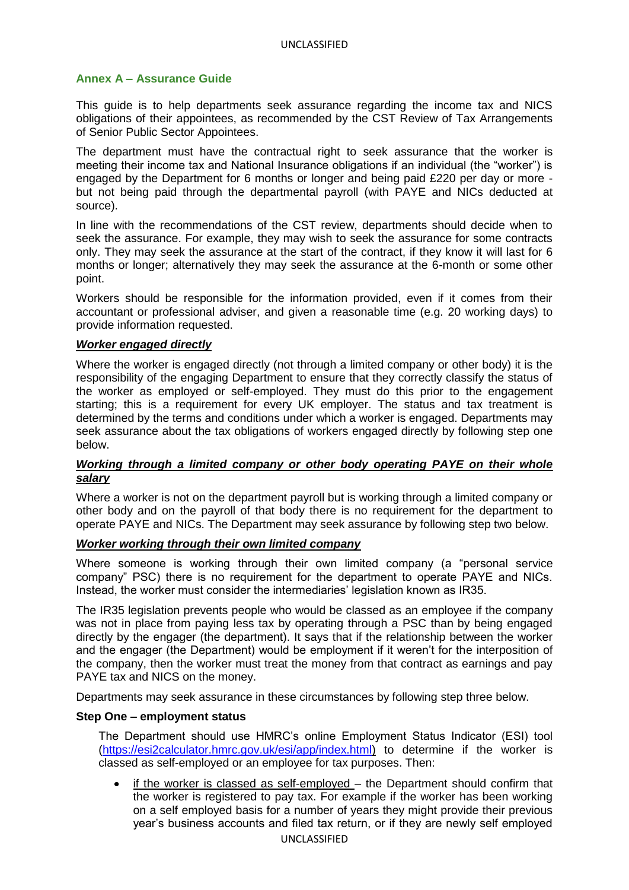# **Annex A – Assurance Guide**

This guide is to help departments seek assurance regarding the income tax and NICS obligations of their appointees, as recommended by the CST Review of Tax Arrangements of Senior Public Sector Appointees.

The department must have the contractual right to seek assurance that the worker is meeting their income tax and National Insurance obligations if an individual (the "worker") is engaged by the Department for 6 months or longer and being paid £220 per day or more but not being paid through the departmental payroll (with PAYE and NICs deducted at source).

In line with the recommendations of the CST review, departments should decide when to seek the assurance. For example, they may wish to seek the assurance for some contracts only. They may seek the assurance at the start of the contract, if they know it will last for 6 months or longer; alternatively they may seek the assurance at the 6-month or some other point.

Workers should be responsible for the information provided, even if it comes from their accountant or professional adviser, and given a reasonable time (e.g. 20 working days) to provide information requested.

#### *Worker engaged directly*

Where the worker is engaged directly (not through a limited company or other body) it is the responsibility of the engaging Department to ensure that they correctly classify the status of the worker as employed or self-employed. They must do this prior to the engagement starting; this is a requirement for every UK employer. The status and tax treatment is determined by the terms and conditions under which a worker is engaged. Departments may seek assurance about the tax obligations of workers engaged directly by following step one below.

# *Working through a limited company or other body operating PAYE on their whole salary*

Where a worker is not on the department payroll but is working through a limited company or other body and on the payroll of that body there is no requirement for the department to operate PAYE and NICs. The Department may seek assurance by following step two below.

#### *Worker working through their own limited company*

Where someone is working through their own limited company (a "personal service company" PSC) there is no requirement for the department to operate PAYE and NICs. Instead, the worker must consider the intermediaries" legislation known as IR35.

The IR35 legislation prevents people who would be classed as an employee if the company was not in place from paying less tax by operating through a PSC than by being engaged directly by the engager (the department). It says that if the relationship between the worker and the engager (the Department) would be employment if it weren't for the interposition of the company, then the worker must treat the money from that contract as earnings and pay PAYE tax and NICS on the money.

Departments may seek assurance in these circumstances by following step three below.

#### **Step One – employment status**

The Department should use HMRC"s online Employment Status Indicator (ESI) tool [\(https://esi2calculator.hmrc.gov.uk/esi/app/index.html\)](https://esi2calculator.hmrc.gov.uk/esi/app/index.html) to determine if the worker is classed as self-employed or an employee for tax purposes. Then:

if the worker is classed as self-employed – the Department should confirm that the worker is registered to pay tax. For example if the worker has been working on a self employed basis for a number of years they might provide their previous year"s business accounts and filed tax return, or if they are newly self employed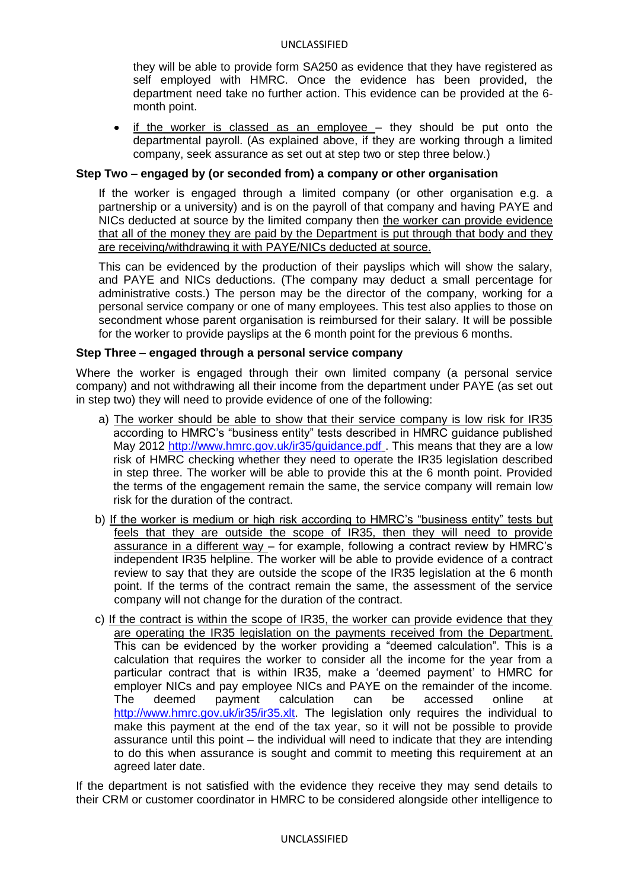#### UNCLASSIFIED

they will be able to provide form SA250 as evidence that they have registered as self employed with HMRC. Once the evidence has been provided, the department need take no further action. This evidence can be provided at the 6 month point.

if the worker is classed as an employee – they should be put onto the departmental payroll. (As explained above, if they are working through a limited company, seek assurance as set out at step two or step three below.)

#### **Step Two – engaged by (or seconded from) a company or other organisation**

If the worker is engaged through a limited company (or other organisation e.g. a partnership or a university) and is on the payroll of that company and having PAYE and NICs deducted at source by the limited company then the worker can provide evidence that all of the money they are paid by the Department is put through that body and they are receiving/withdrawing it with PAYE/NICs deducted at source.

This can be evidenced by the production of their payslips which will show the salary, and PAYE and NICs deductions. (The company may deduct a small percentage for administrative costs.) The person may be the director of the company, working for a personal service company or one of many employees. This test also applies to those on secondment whose parent organisation is reimbursed for their salary. It will be possible for the worker to provide payslips at the 6 month point for the previous 6 months.

#### **Step Three – engaged through a personal service company**

Where the worker is engaged through their own limited company (a personal service company) and not withdrawing all their income from the department under PAYE (as set out in step two) they will need to provide evidence of one of the following:

- a) The worker should be able to show that their service company is low risk for IR35 according to HMRC's "business entity" tests described in HMRC guidance published May 2012 <http://www.hmrc.gov.uk/ir35/guidance.pdf>. This means that they are a low risk of HMRC checking whether they need to operate the IR35 legislation described in step three. The worker will be able to provide this at the 6 month point. Provided the terms of the engagement remain the same, the service company will remain low risk for the duration of the contract.
- b) If the worker is medium or high risk according to HMRC"s "business entity" tests but feels that they are outside the scope of IR35, then they will need to provide assurance in a different way – for example, following a contract review by HMRC"s independent IR35 helpline. The worker will be able to provide evidence of a contract review to say that they are outside the scope of the IR35 legislation at the 6 month point. If the terms of the contract remain the same, the assessment of the service company will not change for the duration of the contract.
- c) If the contract is within the scope of IR35, the worker can provide evidence that they are operating the IR35 legislation on the payments received from the Department. This can be evidenced by the worker providing a "deemed calculation". This is a calculation that requires the worker to consider all the income for the year from a particular contract that is within IR35, make a "deemed payment" to HMRC for employer NICs and pay employee NICs and PAYE on the remainder of the income. The deemed payment calculation can be accessed online at [http://www.hmrc.gov.uk/ir35/ir35.xlt.](http://www.hmrc.gov.uk/ir35/ir35.xlt) The legislation only requires the individual to make this payment at the end of the tax year, so it will not be possible to provide assurance until this point – the individual will need to indicate that they are intending to do this when assurance is sought and commit to meeting this requirement at an agreed later date.

If the department is not satisfied with the evidence they receive they may send details to their CRM or customer coordinator in HMRC to be considered alongside other intelligence to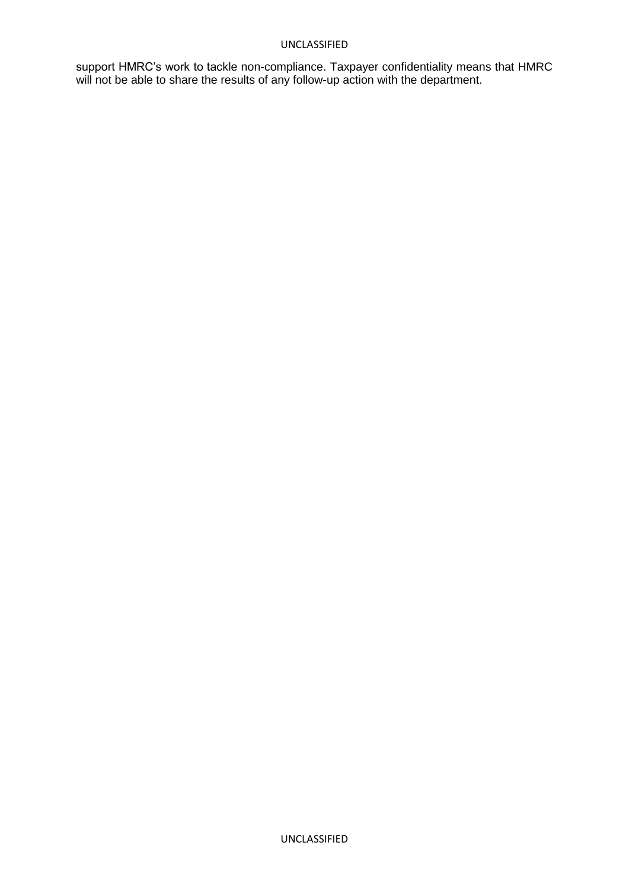#### UNCLASSIFIED

support HMRC"s work to tackle non-compliance. Taxpayer confidentiality means that HMRC will not be able to share the results of any follow-up action with the department.